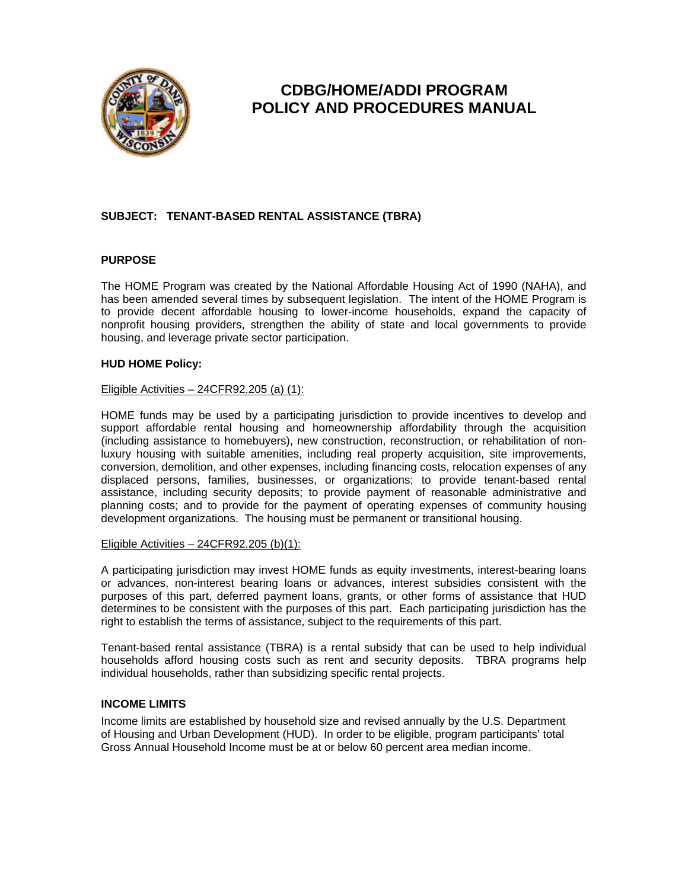

# **CDBG/HOME/ADDI PROGRAM POLICY AND PROCEDURES MANUAL**

# **SUBJECT: TENANT-BASED RENTAL ASSISTANCE (TBRA)**

#### **PURPOSE**

The HOME Program was created by the National Affordable Housing Act of 1990 (NAHA), and has been amended several times by subsequent legislation. The intent of the HOME Program is to provide decent affordable housing to lower-income households, expand the capacity of nonprofit housing providers, strengthen the ability of state and local governments to provide housing, and leverage private sector participation.

# **HUD HOME Policy:**

#### Eligible Activities – 24CFR92.205 (a) (1):

HOME funds may be used by a participating jurisdiction to provide incentives to develop and support affordable rental housing and homeownership affordability through the acquisition (including assistance to homebuyers), new construction, reconstruction, or rehabilitation of nonluxury housing with suitable amenities, including real property acquisition, site improvements, conversion, demolition, and other expenses, including financing costs, relocation expenses of any displaced persons, families, businesses, or organizations; to provide tenant-based rental assistance, including security deposits; to provide payment of reasonable administrative and planning costs; and to provide for the payment of operating expenses of community housing development organizations. The housing must be permanent or transitional housing.

#### Eligible Activities – 24CFR92.205 (b)(1):

A participating jurisdiction may invest HOME funds as equity investments, interest-bearing loans or advances, non-interest bearing loans or advances, interest subsidies consistent with the purposes of this part, deferred payment loans, grants, or other forms of assistance that HUD determines to be consistent with the purposes of this part. Each participating jurisdiction has the right to establish the terms of assistance, subject to the requirements of this part.

Tenant-based rental assistance (TBRA) is a rental subsidy that can be used to help individual households afford housing costs such as rent and security deposits. TBRA programs help individual households, rather than subsidizing specific rental projects.

#### **INCOME LIMITS**

Income limits are established by household size and revised annually by the U.S. Department of Housing and Urban Development (HUD). In order to be eligible, program participants' total Gross Annual Household Income must be at or below 60 percent area median income.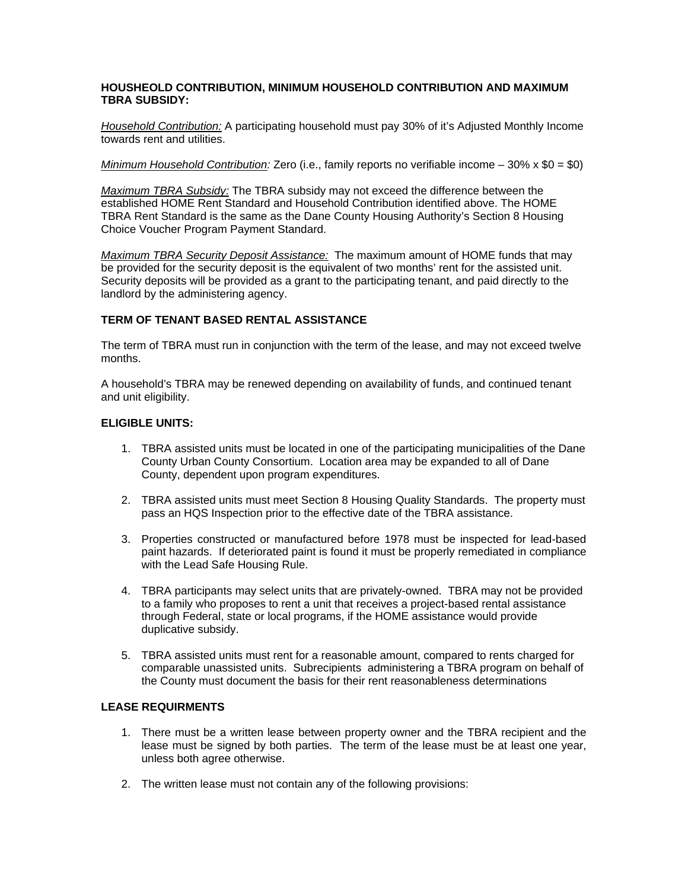# **HOUSHEOLD CONTRIBUTION, MINIMUM HOUSEHOLD CONTRIBUTION AND MAXIMUM TBRA SUBSIDY:**

*Household Contribution:* A participating household must pay 30% of it's Adjusted Monthly Income towards rent and utilities.

#### *Minimum Household Contribution:* Zero (i.e., family reports no verifiable income – 30% x \$0 = \$0)

*Maximum TBRA Subsidy:* The TBRA subsidy may not exceed the difference between the established HOME Rent Standard and Household Contribution identified above. The HOME TBRA Rent Standard is the same as the Dane County Housing Authority's Section 8 Housing Choice Voucher Program Payment Standard.

*Maximum TBRA Security Deposit Assistance:* The maximum amount of HOME funds that may be provided for the security deposit is the equivalent of two months' rent for the assisted unit. Security deposits will be provided as a grant to the participating tenant, and paid directly to the landlord by the administering agency.

# **TERM OF TENANT BASED RENTAL ASSISTANCE**

The term of TBRA must run in conjunction with the term of the lease, and may not exceed twelve months.

A household's TBRA may be renewed depending on availability of funds, and continued tenant and unit eligibility.

# **ELIGIBLE UNITS:**

- 1. TBRA assisted units must be located in one of the participating municipalities of the Dane County Urban County Consortium. Location area may be expanded to all of Dane County, dependent upon program expenditures.
- 2. TBRA assisted units must meet Section 8 Housing Quality Standards. The property must pass an HQS Inspection prior to the effective date of the TBRA assistance.
- 3. Properties constructed or manufactured before 1978 must be inspected for lead-based paint hazards. If deteriorated paint is found it must be properly remediated in compliance with the Lead Safe Housing Rule.
- 4. TBRA participants may select units that are privately-owned. TBRA may not be provided to a family who proposes to rent a unit that receives a project-based rental assistance through Federal, state or local programs, if the HOME assistance would provide duplicative subsidy.
- 5. TBRA assisted units must rent for a reasonable amount, compared to rents charged for comparable unassisted units. Subrecipients administering a TBRA program on behalf of the County must document the basis for their rent reasonableness determinations

# **LEASE REQUIRMENTS**

- 1. There must be a written lease between property owner and the TBRA recipient and the lease must be signed by both parties. The term of the lease must be at least one year, unless both agree otherwise.
- 2. The written lease must not contain any of the following provisions: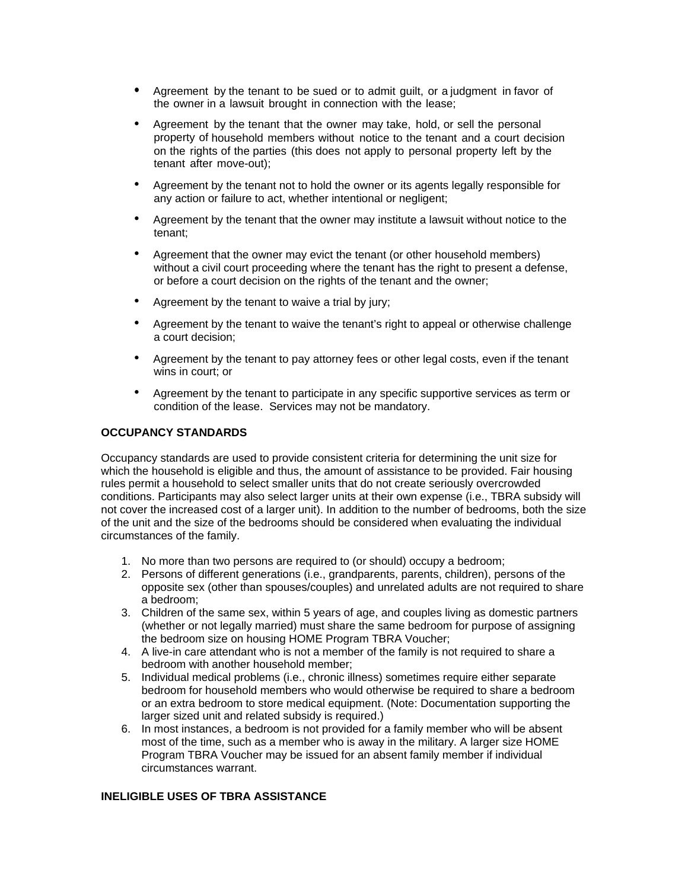- Agreement by the tenant to be sued or to admit guilt, or a judgment in favor of the owner in a lawsuit brought in connection with the lease;
- Agreement by the tenant that the owner may take, hold, or sell the personal property of household members without notice to the tenant and a court decision on the rights of the parties (this does not apply to personal property left by the tenant after move-out);
- Agreement by the tenant not to hold the owner or its agents legally responsible for any action or failure to act, whether intentional or negligent;
- Agreement by the tenant that the owner may institute a lawsuit without notice to the tenant;
- Agreement that the owner may evict the tenant (or other household members) without a civil court proceeding where the tenant has the right to present a defense, or before a court decision on the rights of the tenant and the owner;
- Agreement by the tenant to waive a trial by jury;
- Agreement by the tenant to waive the tenant's right to appeal or otherwise challenge a court decision;
- Agreement by the tenant to pay attorney fees or other legal costs, even if the tenant wins in court; or
- Agreement by the tenant to participate in any specific supportive services as term or condition of the lease. Services may not be mandatory.

# **OCCUPANCY STANDARDS**

Occupancy standards are used to provide consistent criteria for determining the unit size for which the household is eligible and thus, the amount of assistance to be provided. Fair housing rules permit a household to select smaller units that do not create seriously overcrowded conditions. Participants may also select larger units at their own expense (i.e., TBRA subsidy will not cover the increased cost of a larger unit). In addition to the number of bedrooms, both the size of the unit and the size of the bedrooms should be considered when evaluating the individual circumstances of the family.

- 1. No more than two persons are required to (or should) occupy a bedroom;
- 2. Persons of different generations (i.e., grandparents, parents, children), persons of the opposite sex (other than spouses/couples) and unrelated adults are not required to share a bedroom;
- 3. Children of the same sex, within 5 years of age, and couples living as domestic partners (whether or not legally married) must share the same bedroom for purpose of assigning the bedroom size on housing HOME Program TBRA Voucher;
- 4. A live-in care attendant who is not a member of the family is not required to share a bedroom with another household member;
- 5. Individual medical problems (i.e., chronic illness) sometimes require either separate bedroom for household members who would otherwise be required to share a bedroom or an extra bedroom to store medical equipment. (Note: Documentation supporting the larger sized unit and related subsidy is required.)
- 6. In most instances, a bedroom is not provided for a family member who will be absent most of the time, such as a member who is away in the military. A larger size HOME Program TBRA Voucher may be issued for an absent family member if individual circumstances warrant.

# **INELIGIBLE USES OF TBRA ASSISTANCE**